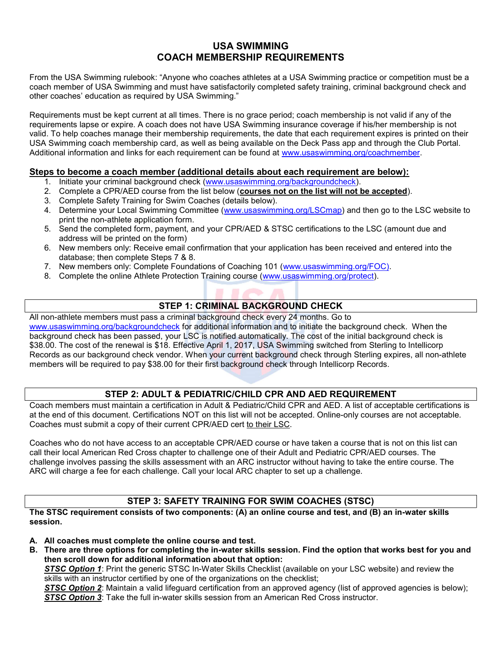# USA SWIMMING COACH MEMBERSHIP REQUIREMENTS

From the USA Swimming rulebook: "Anyone who coaches athletes at a USA Swimming practice or competition must be a coach member of USA Swimming and must have satisfactorily completed safety training, criminal background check and other coaches' education as required by USA Swimming."

Requirements must be kept current at all times. There is no grace period; coach membership is not valid if any of the requirements lapse or expire. A coach does not have USA Swimming insurance coverage if his/her membership is not valid. To help coaches manage their membership requirements, the date that each requirement expires is printed on their USA Swimming coach membership card, as well as being available on the Deck Pass app and through the Club Portal. Additional information and links for each requirement can be found at www.usaswimming.org/coachmember.

### Steps to become a coach member (additional details about each requirement are below):

- 1. Initiate your criminal background check (www.usaswimming.org/backgroundcheck).
- 2. Complete a CPR/AED course from the list below (courses not on the list will not be accepted).
- 3. Complete Safety Training for Swim Coaches (details below).
- 4. Determine your Local Swimming Committee (www.usaswimming.org/LSCmap) and then go to the LSC website to print the non-athlete application form.
- 5. Send the completed form, payment, and your CPR/AED & STSC certifications to the LSC (amount due and address will be printed on the form)
- 6. New members only: Receive email confirmation that your application has been received and entered into the database; then complete Steps 7 & 8.
- 7. New members only: Complete Foundations of Coaching 101 (www.usaswimming.org/FOC).
- 8. Complete the online Athlete Protection Training course (www.usaswimming.org/protect).

# STEP 1: CRIMINAL BACKGROUND CHECK

All non-athlete members must pass a criminal background check every 24 months. Go to www.usaswimming.org/backgroundcheck for additional information and to initiate the background check. When the background check has been passed, your LSC is notified automatically. The cost of the initial background check is \$38.00. The cost of the renewal is \$18. Effective April 1, 2017, USA Swimming switched from Sterling to Intellicorp Records as our background check vendor. When your current background check through Sterling expires, all non-athlete members will be required to pay \$38.00 for their first background check through Intellicorp Records.

## STEP 2: ADULT & PEDIATRIC/CHILD CPR AND AED REQUIREMENT

Coach members must maintain a certification in Adult & Pediatric/Child CPR and AED. A list of acceptable certifications is at the end of this document. Certifications NOT on this list will not be accepted. Online-only courses are not acceptable. Coaches must submit a copy of their current CPR/AED cert to their LSC.

Coaches who do not have access to an acceptable CPR/AED course or have taken a course that is not on this list can call their local American Red Cross chapter to challenge one of their Adult and Pediatric CPR/AED courses. The challenge involves passing the skills assessment with an ARC instructor without having to take the entire course. The ARC will charge a fee for each challenge. Call your local ARC chapter to set up a challenge.

# STEP 3: SAFETY TRAINING FOR SWIM COACHES (STSC)

The STSC requirement consists of two components: (A) an online course and test, and (B) an in-water skills session.

- A. All coaches must complete the online course and test.
- B. There are three options for completing the in-water skills session. Find the option that works best for you and then scroll down for additional information about that option:

STSC Option 1: Print the generic STSC In-Water Skills Checklist (available on your LSC website) and review the skills with an instructor certified by one of the organizations on the checklist;

STSC Option 2: Maintain a valid lifeguard certification from an approved agency (list of approved agencies is below); STSC Option 3: Take the full in-water skills session from an American Red Cross instructor.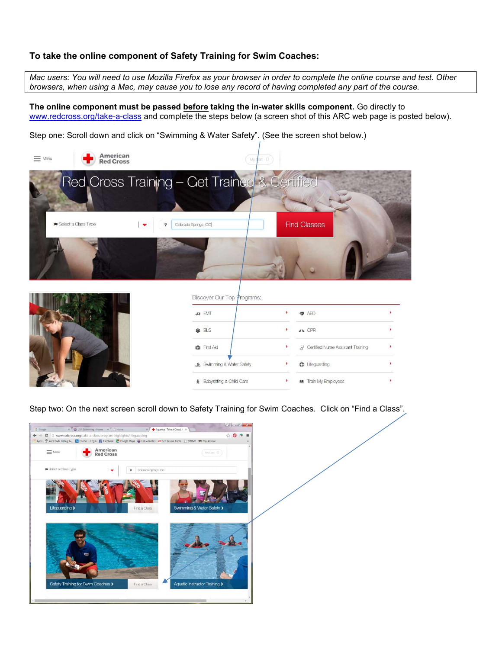## To take the online component of Safety Training for Swim Coaches:

Mac users: You will need to use Mozilla Firefox as your browser in order to complete the online course and test. Other browsers, when using a Mac, may cause you to lose any record of having completed any part of the course.

The online component must be passed **before** taking the in-water skills component. Go directly to www.redcross.org/take-a-class and complete the steps below (a screen shot of this ARC web page is posted below).

Step one: Scroll down and click on "Swimming & Water Safety". (See the screen shot below.)



Step two: On the next screen scroll down to Safety Training for Swim Coaches. Click on "Find a Class".

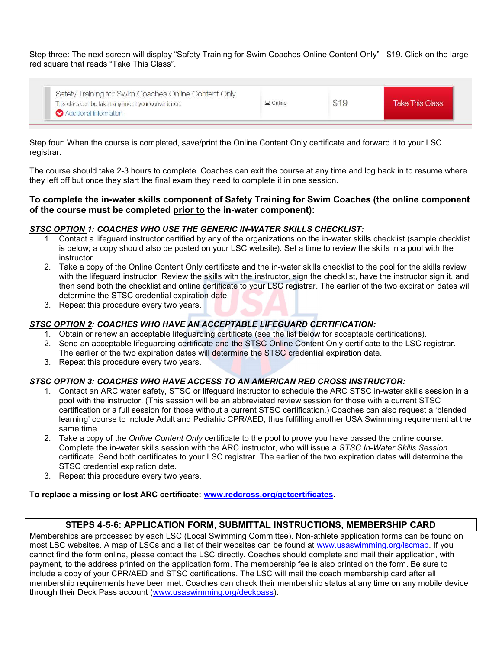Step three: The next screen will display "Safety Training for Swim Coaches Online Content Only" - \$19. Click on the large red square that reads "Take This Class".

| Safety Training for Swim Coaches Online Content Only<br>This class can be taken anytime at your convenience. | $\Box$ Online | \$19 | <b>Take This Class</b> |
|--------------------------------------------------------------------------------------------------------------|---------------|------|------------------------|
| Additional information                                                                                       |               |      |                        |

Step four: When the course is completed, save/print the Online Content Only certificate and forward it to your LSC registrar.

The course should take 2-3 hours to complete. Coaches can exit the course at any time and log back in to resume where they left off but once they start the final exam they need to complete it in one session.

### To complete the in-water skills component of Safety Training for Swim Coaches (the online component of the course must be completed prior to the in-water component):

#### STSC OPTION 1: COACHES WHO USE THE GENERIC IN-WATER SKILLS CHECKLIST:

- 1. Contact a lifeguard instructor certified by any of the organizations on the in-water skills checklist (sample checklist is below; a copy should also be posted on your LSC website). Set a time to review the skills in a pool with the instructor.
- 2. Take a copy of the Online Content Only certificate and the in-water skills checklist to the pool for the skills review with the lifeguard instructor. Review the skills with the instructor, sign the checklist, have the instructor sign it, and then send both the checklist and online certificate to your LSC registrar. The earlier of the two expiration dates will determine the STSC credential expiration date.
- 3. Repeat this procedure every two years.

#### STSC OPTION 2: COACHES WHO HAVE AN ACCEPTABLE LIFEGUARD CERTIFICATION:

- 1. Obtain or renew an acceptable lifeguarding certificate (see the list below for acceptable certifications).
- 2. Send an acceptable lifeguarding certificate and the STSC Online Content Only certificate to the LSC registrar. The earlier of the two expiration dates will determine the STSC credential expiration date.
- 3. Repeat this procedure every two years.

#### STSC OPTION 3: COACHES WHO HAVE ACCESS TO AN AMERICAN RED CROSS INSTRUCTOR:

- 1. Contact an ARC water safety, STSC or lifeguard instructor to schedule the ARC STSC in-water skills session in a pool with the instructor. (This session will be an abbreviated review session for those with a current STSC certification or a full session for those without a current STSC certification.) Coaches can also request a 'blended learning' course to include Adult and Pediatric CPR/AED, thus fulfilling another USA Swimming requirement at the same time.
- 2. Take a copy of the Online Content Only certificate to the pool to prove you have passed the online course. Complete the in-water skills session with the ARC instructor, who will issue a STSC In-Water Skills Session certificate. Send both certificates to your LSC registrar. The earlier of the two expiration dates will determine the STSC credential expiration date.
- 3. Repeat this procedure every two years.

To replace a missing or lost ARC certificate: www.redcross.org/getcertificates.

### STEPS 4-5-6: APPLICATION FORM, SUBMITTAL INSTRUCTIONS, MEMBERSHIP CARD

Memberships are processed by each LSC (Local Swimming Committee). Non-athlete application forms can be found on most LSC websites. A map of LSCs and a list of their websites can be found at www.usaswimming.org/lscmap. If you cannot find the form online, please contact the LSC directly. Coaches should complete and mail their application, with payment, to the address printed on the application form. The membership fee is also printed on the form. Be sure to include a copy of your CPR/AED and STSC certifications. The LSC will mail the coach membership card after all membership requirements have been met. Coaches can check their membership status at any time on any mobile device through their Deck Pass account (www.usaswimming.org/deckpass).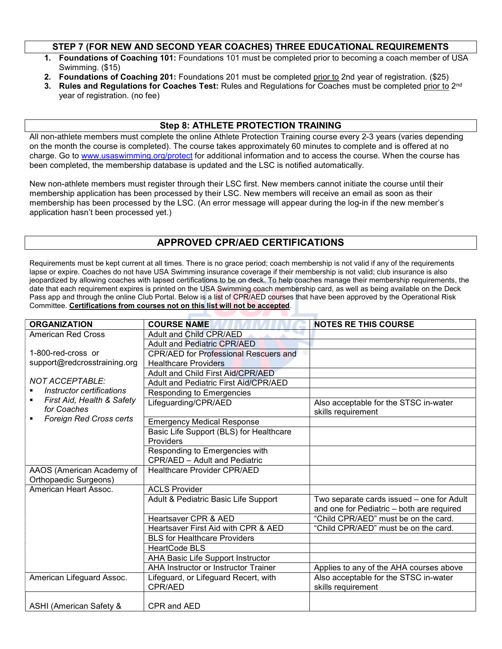### STEP 7 (FOR NEW AND SECOND YEAR COACHES) THREE EDUCATIONAL REQUIREMENTS

- 1. Foundations of Coaching 101: Foundations 101 must be completed prior to becoming a coach member of USA Swimming. (\$15)
- 2. Foundations of Coaching 201: Foundations 201 must be completed prior to 2nd year of registration. (\$25)
- 3. Rules and Regulations for Coaches Test: Rules and Regulations for Coaches must be completed prior to 2<sup>nd</sup> year of registration. (no fee)

## Step 8: ATHLETE PROTECTION TRAINING

All non-athlete members must complete the online Athlete Protection Training course every 2-3 years (varies depending on the month the course is completed). The course takes approximately 60 minutes to complete and is offered at no charge. Go to www.usaswimming.org/protect for additional information and to access the course. When the course has been completed, the membership database is updated and the LSC is notified automatically.

New non-athlete members must register through their LSC first. New members cannot initiate the course until their membership application has been processed by their LSC. New members will receive an email as soon as their membership has been processed by the LSC. (An error message will appear during the log-in if the new member's application hasn't been processed yet.)

# APPROVED CPR/AED CERTIFICATIONS

Requirements must be kept current at all times. There is no grace period; coach membership is not valid if any of the requirements lapse or expire. Coaches do not have USA Swimming insurance coverage if their membership is not valid; club insurance is also jeopardized by allowing coaches with lapsed certifications to be on deck. To help coaches manage their membership requirements, the date that each requirement expires is printed on the USA Swimming coach membership card, as well as being available on the Deck Pass app and through the online Club Portal. Below is a list of CPR/AED courses that have been approved by the Operational Risk Committee. Certifications from courses not on this list will not be accepted.

| <b>ORGANIZATION</b>                       | <b>COURSE NAME</b>                           | <b>NOTES RE THIS COURSE</b>                                 |
|-------------------------------------------|----------------------------------------------|-------------------------------------------------------------|
| <b>American Red Cross</b>                 | <b>Adult and Child CPR/AED</b>               |                                                             |
|                                           | <b>Adult and Pediatric CPR/AED</b>           |                                                             |
| 1-800-red-cross or                        | <b>CPR/AED for Professional Rescuers and</b> |                                                             |
| support@redcrosstraining.org              | <b>Healthcare Providers</b>                  |                                                             |
|                                           | Adult and Child First Aid/CPR/AED            |                                                             |
| <b>NOT ACCEPTABLE:</b>                    | <b>Adult and Pediatric First Aid/CPR/AED</b> |                                                             |
| Instructor certifications                 | Responding to Emergencies                    |                                                             |
| First Aid, Health & Safety<br>for Coaches | Lifeguarding/CPR/AED                         | Also acceptable for the STSC in-water<br>skills requirement |
| Foreign Red Cross certs                   | <b>Emergency Medical Response</b>            |                                                             |
|                                           | Basic Life Support (BLS) for Healthcare      |                                                             |
|                                           | Providers                                    |                                                             |
|                                           | Responding to Emergencies with               |                                                             |
|                                           | CPR/AED - Adult and Pediatric                |                                                             |
| AAOS (American Academy of                 | <b>Healthcare Provider CPR/AED</b>           |                                                             |
| Orthopaedic Surgeons)                     |                                              |                                                             |
| American Heart Assoc.                     | <b>ACLS Provider</b>                         |                                                             |
|                                           | Adult & Pediatric Basic Life Support         | Two separate cards issued - one for Adult                   |
|                                           |                                              | and one for Pediatric - both are required                   |
|                                           | Heartsaver CPR & AED                         | "Child CPR/AED" must be on the card.                        |
|                                           | Heartsaver First Aid with CPR & AED          | "Child CPR/AED" must be on the card.                        |
|                                           | <b>BLS for Healthcare Providers</b>          |                                                             |
|                                           | <b>HeartCode BLS</b>                         |                                                             |
|                                           | AHA Basic Life Support Instructor            |                                                             |
|                                           | AHA Instructor or Instructor Trainer         | Applies to any of the AHA courses above                     |
| American Lifeguard Assoc.                 | Lifeguard, or Lifeguard Recert, with         | Also acceptable for the STSC in-water                       |
|                                           | CPR/AED                                      | skills requirement                                          |
| ASHI (American Safety &                   | CPR and AED                                  |                                                             |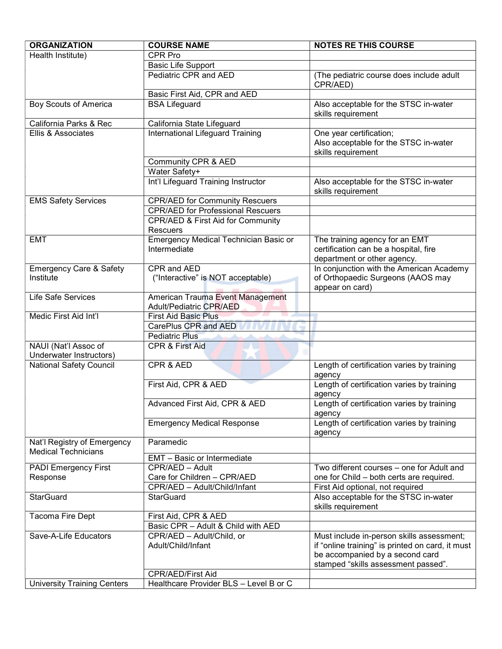| <b>ORGANIZATION</b>                                       | <b>COURSE NAME</b>                                                 | <b>NOTES RE THIS COURSE</b>                                                                                                                                             |
|-----------------------------------------------------------|--------------------------------------------------------------------|-------------------------------------------------------------------------------------------------------------------------------------------------------------------------|
| Health Institute)                                         | CPR Pro                                                            |                                                                                                                                                                         |
|                                                           | <b>Basic Life Support</b>                                          |                                                                                                                                                                         |
|                                                           | Pediatric CPR and AED                                              | (The pediatric course does include adult<br>CPR/AED)                                                                                                                    |
|                                                           | Basic First Aid, CPR and AED                                       |                                                                                                                                                                         |
| <b>Boy Scouts of America</b>                              | <b>BSA Lifeguard</b>                                               | Also acceptable for the STSC in-water<br>skills requirement                                                                                                             |
| California Parks & Rec                                    | California State Lifeguard                                         |                                                                                                                                                                         |
| Ellis & Associates                                        | <b>International Lifeguard Training</b>                            | One year certification;<br>Also acceptable for the STSC in-water<br>skills requirement                                                                                  |
|                                                           | Community CPR & AED                                                |                                                                                                                                                                         |
|                                                           | Water Safety+                                                      |                                                                                                                                                                         |
|                                                           | Int'l Lifeguard Training Instructor                                | Also acceptable for the STSC in-water<br>skills requirement                                                                                                             |
| <b>EMS Safety Services</b>                                | <b>CPR/AED for Community Rescuers</b>                              |                                                                                                                                                                         |
|                                                           | <b>CPR/AED for Professional Rescuers</b>                           |                                                                                                                                                                         |
|                                                           | CPR/AED & First Aid for Community<br>Rescuers                      |                                                                                                                                                                         |
| <b>EMT</b>                                                | <b>Emergency Medical Technician Basic or</b><br>Intermediate       | The training agency for an EMT<br>certification can be a hospital, fire<br>department or other agency.                                                                  |
| <b>Emergency Care &amp; Safety</b>                        | CPR and AED                                                        | In conjunction with the American Academy                                                                                                                                |
| Institute                                                 | ("Interactive" is NOT acceptable)                                  | of Orthopaedic Surgeons (AAOS may                                                                                                                                       |
|                                                           |                                                                    | appear on card)                                                                                                                                                         |
| Life Safe Services                                        | American Trauma Event Management<br><b>Adult/Pediatric CPR/AED</b> |                                                                                                                                                                         |
| Medic First Aid Int'l                                     | <b>First Aid Basic Plus</b>                                        |                                                                                                                                                                         |
|                                                           | CarePlus CPR and AED                                               |                                                                                                                                                                         |
|                                                           | <b>Pediatric Plus</b>                                              |                                                                                                                                                                         |
| NAUI (Nat'l Assoc of<br>Underwater Instructors)           | <b>CPR &amp; First Aid</b>                                         |                                                                                                                                                                         |
| <b>National Safety Council</b>                            | CPR & AED                                                          | Length of certification varies by training<br>agency                                                                                                                    |
|                                                           | First Aid, CPR & AED                                               | Length of certification varies by training<br>agency                                                                                                                    |
|                                                           | Advanced First Aid, CPR & AED                                      | Length of certification varies by training<br>agency                                                                                                                    |
|                                                           | <b>Emergency Medical Response</b>                                  | Length of certification varies by training<br>agency                                                                                                                    |
| Nat'l Registry of Emergency<br><b>Medical Technicians</b> | Paramedic                                                          |                                                                                                                                                                         |
|                                                           | EMT - Basic or Intermediate                                        |                                                                                                                                                                         |
| <b>PADI Emergency First</b>                               | CPR/AED - Adult                                                    | Two different courses – one for Adult and                                                                                                                               |
| Response                                                  | Care for Children - CPR/AED                                        | one for Child - both certs are required.                                                                                                                                |
|                                                           | CPR/AED - Adult/Child/Infant                                       | First Aid optional, not required                                                                                                                                        |
| <b>StarGuard</b>                                          | <b>StarGuard</b>                                                   | Also acceptable for the STSC in-water<br>skills requirement                                                                                                             |
| Tacoma Fire Dept                                          | First Aid, CPR & AED                                               |                                                                                                                                                                         |
|                                                           | Basic CPR - Adult & Child with AED                                 |                                                                                                                                                                         |
| Save-A-Life Educators                                     | CPR/AED - Adult/Child, or<br>Adult/Child/Infant                    | Must include in-person skills assessment;<br>if "online training" is printed on card, it must<br>be accompanied by a second card<br>stamped "skills assessment passed". |
|                                                           | <b>CPR/AED/First Aid</b>                                           |                                                                                                                                                                         |
| <b>University Training Centers</b>                        | Healthcare Provider BLS - Level B or C                             |                                                                                                                                                                         |